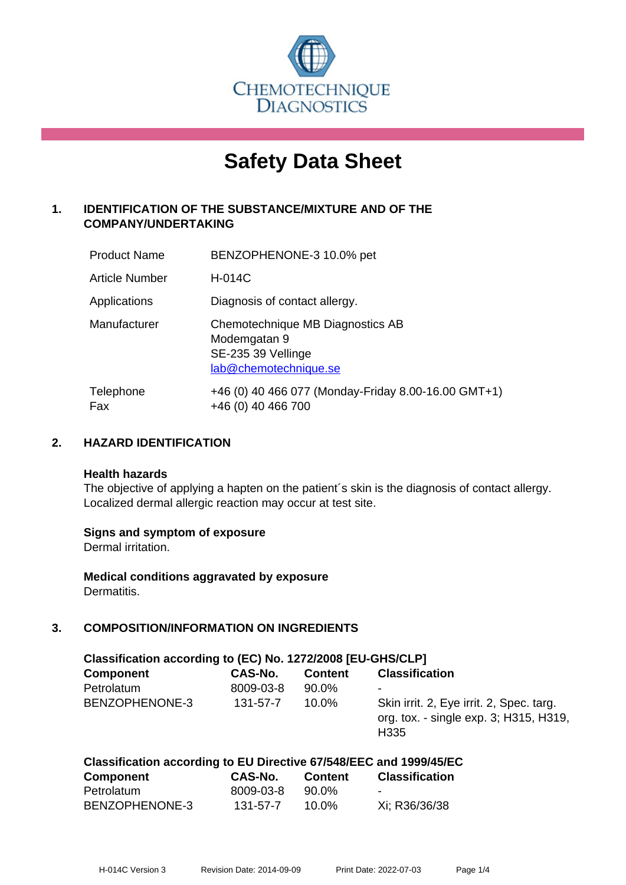

# **Safety Data Sheet**

## **1. IDENTIFICATION OF THE SUBSTANCE/MIXTURE AND OF THE COMPANY/UNDERTAKING**

| <b>Product Name</b>   | BENZOPHENONE-3 10.0% pet                                                                        |
|-----------------------|-------------------------------------------------------------------------------------------------|
| <b>Article Number</b> | H-014C                                                                                          |
| Applications          | Diagnosis of contact allergy.                                                                   |
| Manufacturer          | Chemotechnique MB Diagnostics AB<br>Modemgatan 9<br>SE-235 39 Vellinge<br>lab@chemotechnique.se |
| Telephone<br>Fax      | +46 (0) 40 466 077 (Monday-Friday 8.00-16.00 GMT+1)<br>+46 (0) 40 466 700                       |

## **2. HAZARD IDENTIFICATION**

#### **Health hazards**

The objective of applying a hapten on the patient's skin is the diagnosis of contact allergy. Localized dermal allergic reaction may occur at test site.

## **Signs and symptom of exposure**

Dermal irritation.

**Medical conditions aggravated by exposure** Dermatitis.

## **3. COMPOSITION/INFORMATION ON INGREDIENTS**

| Classification according to (EC) No. 1272/2008 [EU-GHS/CLP] |           |                |                                                                                                        |  |  |
|-------------------------------------------------------------|-----------|----------------|--------------------------------------------------------------------------------------------------------|--|--|
| <b>Component</b>                                            | CAS-No.   | <b>Content</b> | <b>Classification</b>                                                                                  |  |  |
| Petrolatum                                                  | 8009-03-8 | 90.0%          |                                                                                                        |  |  |
| BENZOPHENONE-3                                              | 131-57-7  | $10.0\%$       | Skin irrit. 2, Eye irrit. 2, Spec. targ.<br>org. tox. - single exp. 3; H315, H319,<br>H <sub>335</sub> |  |  |

| Classification according to EU Directive 67/548/EEC and 1999/45/EC |           |                |                       |
|--------------------------------------------------------------------|-----------|----------------|-----------------------|
| <b>Component</b>                                                   | CAS-No.   | <b>Content</b> | <b>Classification</b> |
| Petrolatum                                                         | 8009-03-8 | 90.0%          | -                     |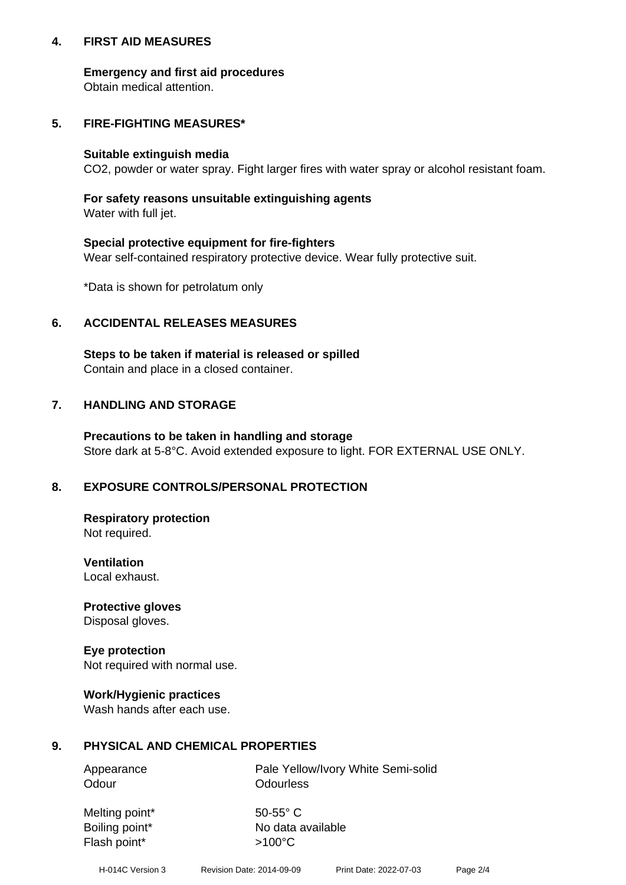## **4. FIRST AID MEASURES**

## **Emergency and first aid procedures**

Obtain medical attention.

## **5. FIRE-FIGHTING MEASURES\***

#### **Suitable extinguish media**

CO2, powder or water spray. Fight larger fires with water spray or alcohol resistant foam.

## **For safety reasons unsuitable extinguishing agents**

Water with full jet.

## **Special protective equipment for fire-fighters**

Wear self-contained respiratory protective device. Wear fully protective suit.

\*Data is shown for petrolatum only

## **6. ACCIDENTAL RELEASES MEASURES**

**Steps to be taken if material is released or spilled** Contain and place in a closed container.

## **7. HANDLING AND STORAGE**

**Precautions to be taken in handling and storage** Store dark at 5-8°C. Avoid extended exposure to light. FOR EXTERNAL USE ONLY.

## **8. EXPOSURE CONTROLS/PERSONAL PROTECTION**

**Respiratory protection** Not required.

**Ventilation** Local exhaust.

**Protective gloves** Disposal gloves.

## **Eye protection**

Not required with normal use.

## **Work/Hygienic practices**

Wash hands after each use.

## **9. PHYSICAL AND CHEMICAL PROPERTIES**

Odour **Odourless** 

Appearance **Pale Yellow/Ivory White Semi-solid** 

Melting point\* 50-55° C Flash point\*  $>100^{\circ}$ C

Boiling point\* No data available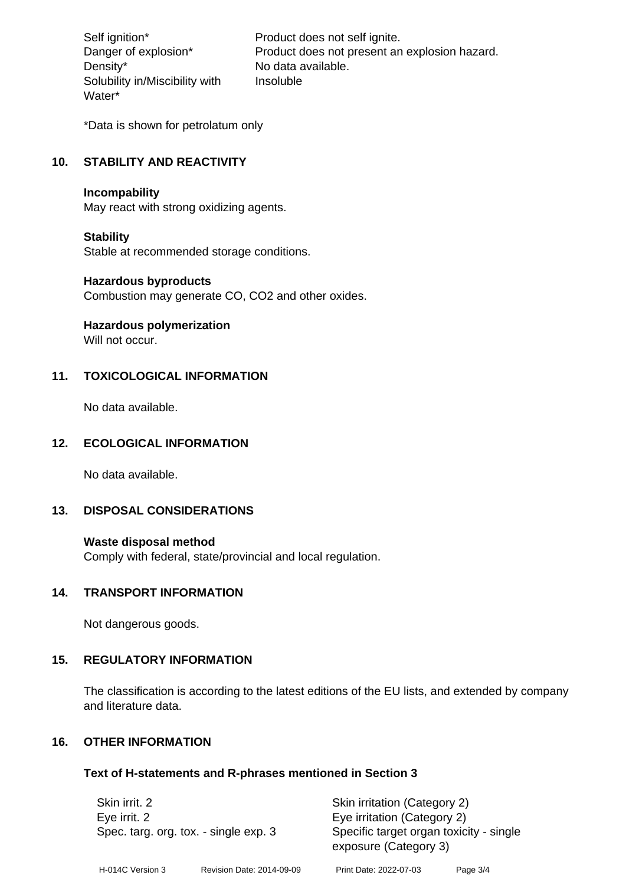Density\* No data available. Solubility in/Miscibility with Water\*

Self ignition\* Product does not self ignite. Danger of explosion\* Product does not present an explosion hazard. Insoluble

\*Data is shown for petrolatum only

## **10. STABILITY AND REACTIVITY**

#### **Incompability**

May react with strong oxidizing agents.

#### **Stability**

Stable at recommended storage conditions.

#### **Hazardous byproducts**

Combustion may generate CO, CO2 and other oxides.

**Hazardous polymerization**

Will not occur.

## **11. TOXICOLOGICAL INFORMATION**

No data available.

## **12. ECOLOGICAL INFORMATION**

No data available.

## **13. DISPOSAL CONSIDERATIONS**

#### **Waste disposal method**

Comply with federal, state/provincial and local regulation.

#### **14. TRANSPORT INFORMATION**

Not dangerous goods.

## **15. REGULATORY INFORMATION**

The classification is according to the latest editions of the EU lists, and extended by company and literature data.

#### **16. OTHER INFORMATION**

#### **Text of H-statements and R-phrases mentioned in Section 3**

| Skin irrit. 2                                         |                           | Skin irritation (Category 2)                                     |          |  |
|-------------------------------------------------------|---------------------------|------------------------------------------------------------------|----------|--|
| Eye irrit. 2<br>Spec. targ. org. tox. - single exp. 3 |                           | Eye irritation (Category 2)                                      |          |  |
|                                                       |                           | Specific target organ toxicity - single<br>exposure (Category 3) |          |  |
| H-014C Version 3                                      | Revision Date: 2014-09-09 | Print Date: 2022-07-03                                           | Page 3/4 |  |